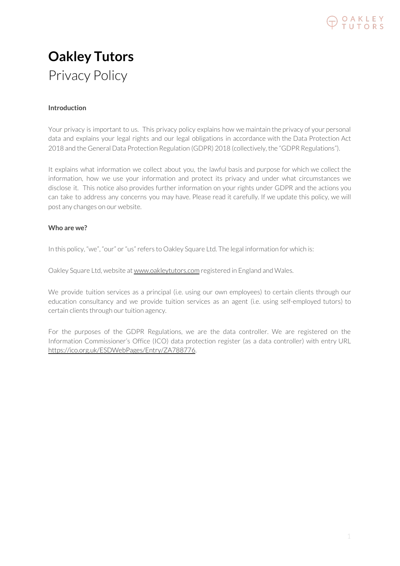

# **Oakley Tutors** Privacy Policy

# **Introduction**

Your privacy is important to us. This privacy policy explains how we maintain the privacy of your personal data and explains your legal rights and our legal obligations in accordance with the Data Protection Act 2018 and the General Data Protection Regulation (GDPR) 2018 (collectively, the "GDPR Regulations").

It explains what information we collect about you, the lawful basis and purpose for which we collect the information, how we use your information and protect its privacy and under what circumstances we disclose it. This notice also provides further information on your rights under GDPR and the actions you can take to address any concerns you may have. Please read it carefully. If we update this policy, we will post any changes on our website.

# **Who are we?**

In this policy, "we", "our" or "us" refers to Oakley Square Ltd. The legal information for which is:

Oakley Square Ltd, website at www.oakleytutors.com registered in England and Wales.

We provide tuition services as a principal (i.e. using our own employees) to certain clients through our education consultancy and we provide tuition services as an agent (i.e. using self-employed tutors) to certain clients through our tuition agency.

For the purposes of the GDPR Regulations, we are the data controller. We are registered on the Information Commissioner's Office (ICO) data protection register (as a data controller) with entry URL <https://ico.org.uk/ESDWebPages/Entry/ZA788776>.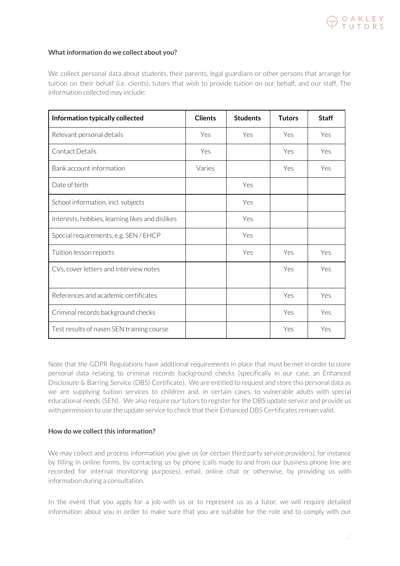

# **Whatinformation do we collect about you?**

We collect personal data about students, their parents, legal guardians or other persons that arrange for tuition on their behalf (i.e. clients), tutors that wish to provide tuition on our behalf, and our staff. The information collected may include:

| Information typically collected                 | <b>Clients</b> | <b>Students</b> | <b>Tutors</b> | <b>Staff</b> |
|-------------------------------------------------|----------------|-----------------|---------------|--------------|
| Relevant personal details                       | Yes            | Yes             | Yes           | Yes          |
| Contact Details                                 | Yes            |                 | Yes           | Yes          |
| Bank account information                        | Varies         |                 | Yes           | Yes          |
| Date of birth                                   |                | Yes             |               |              |
| School information, incl. subjects              |                | Yes             |               |              |
| Interests, hobbies, learning likes and dislikes |                | Yes             |               |              |
| Special requirements, e.g. SEN / EHCP           |                | Yes             |               |              |
| Tuition lesson reports                          |                | Yes             | Yes           | Yes          |
| CVs, cover letters and interview notes          |                |                 | Yes           | Yes          |
| References and academic certificates            |                |                 | Yes           | Yes          |
| Criminal records background checks              |                |                 | Yes           | Yes          |
| Test results of nasen SEN training course       |                |                 | Yes           | Yes          |

Note that the GDPR Regulations have additional requirements in place that must be met in orderto store personal data relating to criminal records background checks (specifically in our case, an Enhanced Disclosure & Barring Service (DBS) Certificate). We are entitled to request and store this personal data as we are supplying tuition services to children and, in certain cases, to vulnerable adults with special educational needs (SEN). We also require our tutors to register for the DBS update service and provide us with permission to use the update service to check that their Enhanced DBS Certificates remain valid.

# **How** do we collect this information?

We may collect and process information you give us (or certain third party service providers), for instance by filling in online forms, by contacting us by phone (calls made to and from our business phone line are recorded for internal monitoring purposes), email, online chat or otherwise, by providing us with information during a consultation.

In the event that you apply for a job with us or to represent us as a tutor, we will require detailed information about you in order to make sure that you are suitable for the role and to comply with our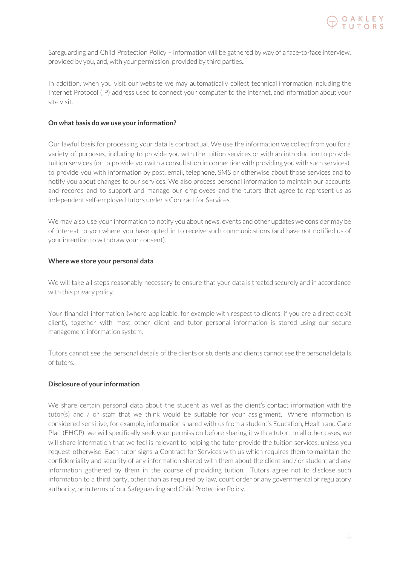

Safeguarding and Child Protection Policy – information will be gathered by way of a face-to-face interview, provided by you, and, with your permission, provided by third parties..

In addition, when you visit our website we may automatically collect technical information including the Internet Protocol (IP) address used to connect your computer to the internet, and information about your site visit.

# **On what basis do we use your information?**

Our lawful basis for processing your data is contractual. We use the information we collect from you for a variety of purposes, including to provide you with the tuition services or with an introduction to provide tuition services (or to provide you with a consultation in connection with providing you with such services), to provide you with information by post, email, telephone, SMS or otherwise about those services and to notify you about changes to our services. We also process personal information to maintain our accounts and records and to support and manage our employees and the tutors that agree to represent us as independent self-employed tutors under a Contract for Services.

We may also use your information to notify you about news, events and other updates we consider may be of interest to you where you have opted in to receive such communications (and have not notified us of your intention to withdraw your consent).

#### **Where we store your personal data**

We will take all steps reasonably necessary to ensure that your data is treated securely and in accordance with this privacy policy.

Your financial information (where applicable, for example with respect to clients, if you are a direct debit client), together with most other client and tutor personal information is stored using our secure management information system.

Tutors cannot see the personal details of the clients or students and clients cannot see the personal details of tutors.

# **Disclosure of your information**

We share certain personal data about the student as well as the client's contact information with the tutor(s) and / or staff that we think would be suitable for your assignment. Where information is considered sensitive, for example, information shared with us from a student's Education, Health and Care Plan (EHCP), we will specifically seek your permission before sharing it with a tutor. In all other cases, we will share information that we feel is relevant to helping the tutor provide the tuition services, unless you request otherwise. Each tutor signs a Contract for Services with us which requires them to maintain the confidentiality and security of any information shared with them about the client and / or student and any information gathered by them in the course of providing tuition. Tutors agree not to disclose such information to a third party, other than as required by law, court order or any governmental or regulatory authority, or in terms of our Safeguarding and Child Protection Policy.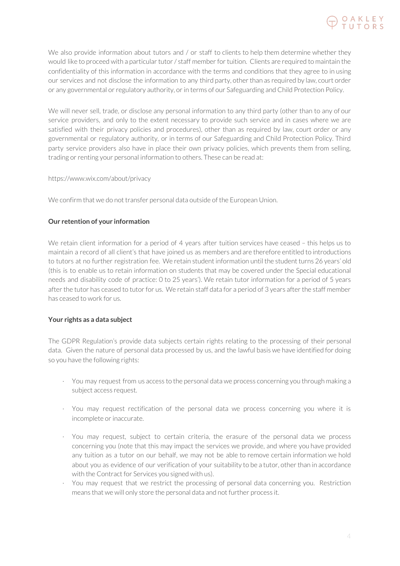

We also provide information about tutors and / or staff to clients to help them determine whether they would like to proceed with a particular tutor / staff member for tuition. Clients are required to maintain the confidentiality of this information in accordance with the terms and conditions that they agree to in using our services and not disclose the information to any third party, other than as required by law, court order or any governmental or regulatory authority, or in terms of our Safeguarding and Child Protection Policy.

We will never sell, trade, or disclose any personal information to any third party (other than to any of our service providers, and only to the extent necessary to provide such service and in cases where we are satisfied with their privacy policies and procedures), other than as required by law, court order or any governmental or regulatory authority, or in terms of our Safeguarding and Child Protection Policy. Third party service providers also have in place their own privacy policies, which prevents them from selling, trading or renting your personal information to others. These can be read at:

# https://www.wix.com/about/privacy

We confirm that we do not transfer personal data outside of the European Union.

# **Our retention of your information**

We retain client information for a period of 4 years after tuition services have ceased – this helps us to maintain a record of all client's that have joined us as members and are therefore entitled to introductions to tutors at no further registration fee. We retain student information until the student turns 26 years' old (this is to enable us to retain information on students that may be covered under the Special educational needs and disability code of practice: 0 to 25 years'). We retain tutor information for a period of 5 years after the tutor has ceased to tutor for us. We retain staff data for a period of 3 years after the staff member has ceased to work for us.

#### **Your rights as a data subject**

The GDPR Regulation's provide data subjects certain rights relating to the processing of their personal data. Given the nature of personal data processed by us, and the lawful basis we have identified for doing so you have the following rights:

- · You may request from us access to the personal data we process concerning you through making a subject access request.
- · You may request rectification of the personal data we process concerning you where it is incomplete or inaccurate.
- · You may request, subject to certain criteria, the erasure of the personal data we process concerning you (note that this may impact the services we provide, and where you have provided any tuition as a tutor on our behalf, we may not be able to remove certain information we hold about you as evidence of our verification of your suitability to be a tutor, other than in accordance with the Contract for Services you signed with us).
- · You may request that we restrict the processing of personal data concerning you. Restriction means that we will only store the personal data and not further process it.